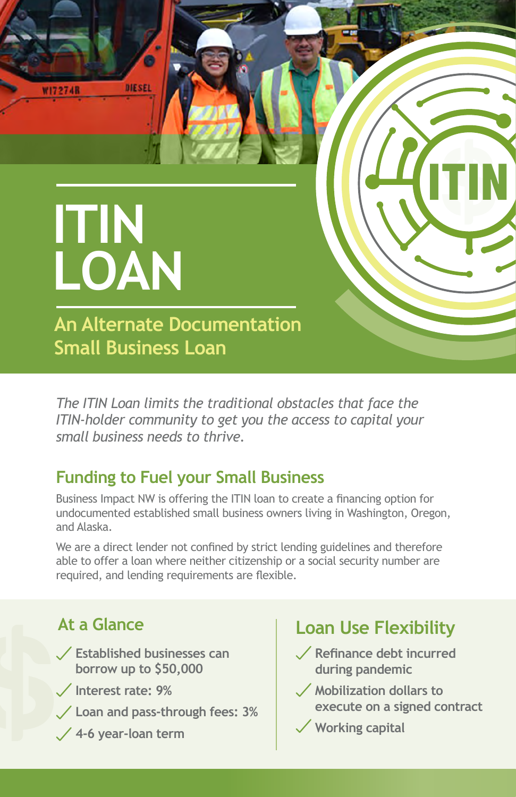

*The ITIN Loan limits the traditional obstacles that face the ITIN-holder community to get you the access to capital your small business needs to thrive.* 

### **Funding to Fuel your Small Business**

Business Impact NW is offering the ITIN loan to create a financing option for undocumented established small business owners living in Washington, Oregon, and Alaska.

We are a direct lender not confined by strict lending guidelines and therefore able to offer a loan where neither citizenship or a social security number are required, and lending requirements are flexible.

## **At a Glance**

- **Established businesses can borrow up to \$50,000**
- **Interest rate: 9%**
- **Loan and pass-through fees: 3%**
- **4-6 year-loan term**

# **Loan Use Flexibility**

- **Refinance debt incurred during pandemic**
- **Mobilization dollars to execute on a signed contract**
- **Working capital**